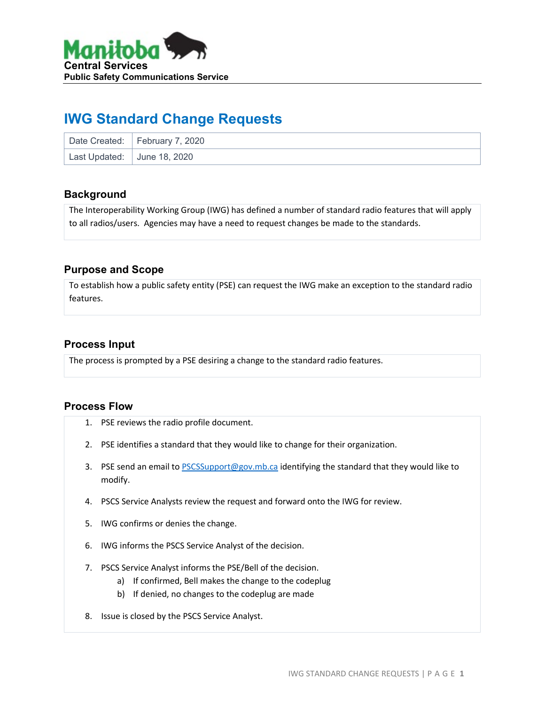

# **IWG Standard Change Requests**

|                             | Date Created: February 7, 2020 |
|-----------------------------|--------------------------------|
| Last Updated: June 18, 2020 |                                |

## **Background**

The Interoperability Working Group (IWG) has defined a number of standard radio features that will apply to all radios/users. Agencies may have a need to request changes be made to the standards.

## **Purpose and Scope**

To establish how a public safety entity (PSE) can request the IWG make an exception to the standard radio features.

## **Process Input**

The process is prompted by a PSE desiring a change to the standard radio features.

#### **Process Flow**

- 1. PSE reviews the radio profile document.
- 2. PSE identifies a standard that they would like to change for their organization.
- 3. PSE send an email to [PSCSSupport@gov.mb.ca](mailto:PSCSSupport@gov.mb.ca) identifying the standard that they would like to modify.
- 4. PSCS Service Analysts review the request and forward onto the IWG for review.
- 5. IWG confirms or denies the change.
- 6. IWG informs the PSCS Service Analyst of the decision.
- 7. PSCS Service Analyst informs the PSE/Bell of the decision.
	- a) If confirmed, Bell makes the change to the codeplug
	- b) If denied, no changes to the codeplug are made
- 8. Issue is closed by the PSCS Service Analyst.